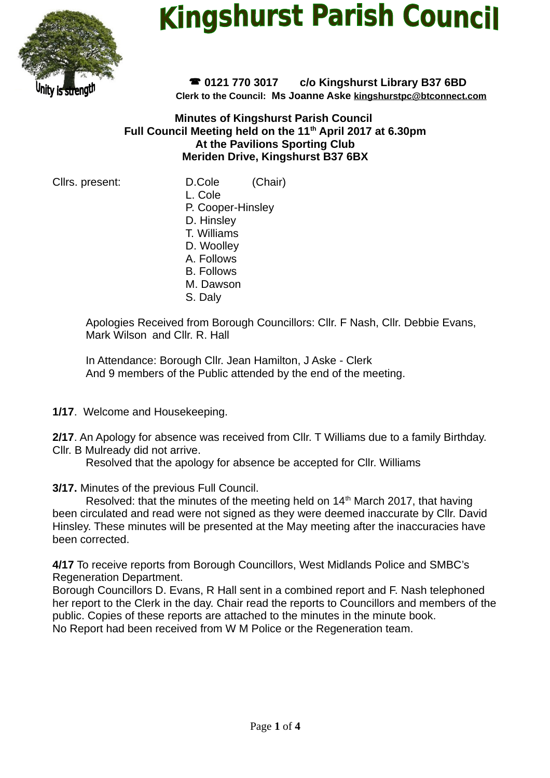

# **Kingshurst Parish Council**

 **0121 770 3017 c/o Kingshurst Library B37 6BD Clerk to the Council: Ms Joanne Aske [kingshurstpc@btconnect.com](mailto:kingshurstpc@btconnect.com)**

**Minutes of Kingshurst Parish Council Full Council Meeting held on the 11th April 2017 at 6.30pm At the Pavilions Sporting Club Meriden Drive, Kingshurst B37 6BX**

Cllrs. present: D.Cole (Chair)

- L. Cole
- P. Cooper-Hinsley D. Hinsley
- T. Williams
- D. Woolley
- A. Follows
- B. Follows
- M. Dawson
- S. Daly

Apologies Received from Borough Councillors: Cllr. F Nash, Cllr. Debbie Evans, Mark Wilson and Cllr. R. Hall

In Attendance: Borough Cllr. Jean Hamilton, J Aske - Clerk And 9 members of the Public attended by the end of the meeting.

**1/17**. Welcome and Housekeeping.

**2/17**. An Apology for absence was received from Cllr. T Williams due to a family Birthday. Cllr. B Mulready did not arrive.

Resolved that the apology for absence be accepted for Cllr. Williams

**3/17.** Minutes of the previous Full Council.

Resolved: that the minutes of the meeting held on  $14<sup>th</sup>$  March 2017, that having been circulated and read were not signed as they were deemed inaccurate by Cllr. David Hinsley. These minutes will be presented at the May meeting after the inaccuracies have been corrected.

**4/17** To receive reports from Borough Councillors, West Midlands Police and SMBC's Regeneration Department.

Borough Councillors D. Evans, R Hall sent in a combined report and F. Nash telephoned her report to the Clerk in the day. Chair read the reports to Councillors and members of the public. Copies of these reports are attached to the minutes in the minute book. No Report had been received from W M Police or the Regeneration team.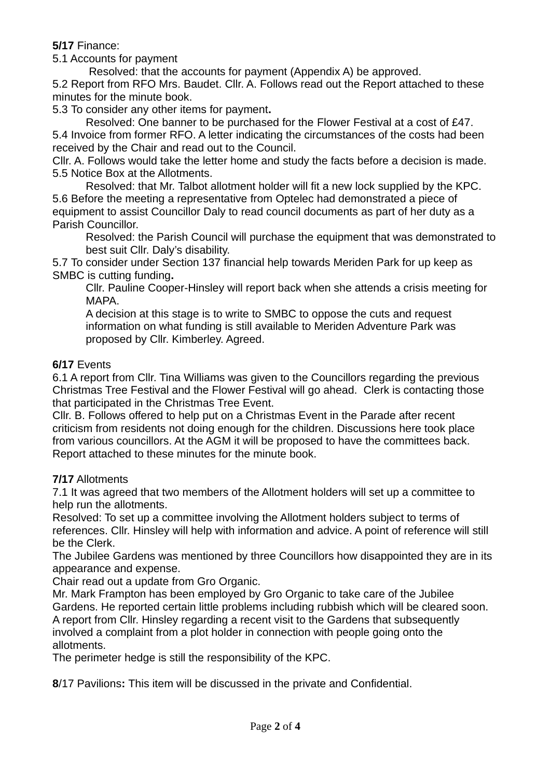**5/17** Finance:

5.1 Accounts for payment

 Resolved: that the accounts for payment (Appendix A) be approved. 5.2 Report from RFO Mrs. Baudet. Cllr. A. Follows read out the Report attached to these minutes for the minute book.

5.3 To consider any other items for payment**.** 

Resolved: One banner to be purchased for the Flower Festival at a cost of £47. 5.4 Invoice from former RFO. A letter indicating the circumstances of the costs had been received by the Chair and read out to the Council.

Cllr. A. Follows would take the letter home and study the facts before a decision is made. 5.5 Notice Box at the Allotments.

Resolved: that Mr. Talbot allotment holder will fit a new lock supplied by the KPC. 5.6 Before the meeting a representative from Optelec had demonstrated a piece of equipment to assist Councillor Daly to read council documents as part of her duty as a Parish Councillor.

Resolved: the Parish Council will purchase the equipment that was demonstrated to best suit Cllr. Daly's disability.

5.7 To consider under Section 137 financial help towards Meriden Park for up keep as SMBC is cutting funding**.**

Cllr. Pauline Cooper-Hinsley will report back when she attends a crisis meeting for MAPA.

A decision at this stage is to write to SMBC to oppose the cuts and request information on what funding is still available to Meriden Adventure Park was proposed by Cllr. Kimberley. Agreed.

### **6/17** Events

6.1 A report from Cllr. Tina Williams was given to the Councillors regarding the previous Christmas Tree Festival and the Flower Festival will go ahead. Clerk is contacting those that participated in the Christmas Tree Event.

Cllr. B. Follows offered to help put on a Christmas Event in the Parade after recent criticism from residents not doing enough for the children. Discussions here took place from various councillors. At the AGM it will be proposed to have the committees back. Report attached to these minutes for the minute book.

# **7/17** Allotments

7.1 It was agreed that two members of the Allotment holders will set up a committee to help run the allotments.

Resolved: To set up a committee involving the Allotment holders subject to terms of references. Cllr. Hinsley will help with information and advice. A point of reference will still be the Clerk.

The Jubilee Gardens was mentioned by three Councillors how disappointed they are in its appearance and expense.

Chair read out a update from Gro Organic.

Mr. Mark Frampton has been employed by Gro Organic to take care of the Jubilee Gardens. He reported certain little problems including rubbish which will be cleared soon. A report from Cllr. Hinsley regarding a recent visit to the Gardens that subsequently involved a complaint from a plot holder in connection with people going onto the allotments.

The perimeter hedge is still the responsibility of the KPC.

**8**/17 Pavilions**:** This item will be discussed in the private and Confidential.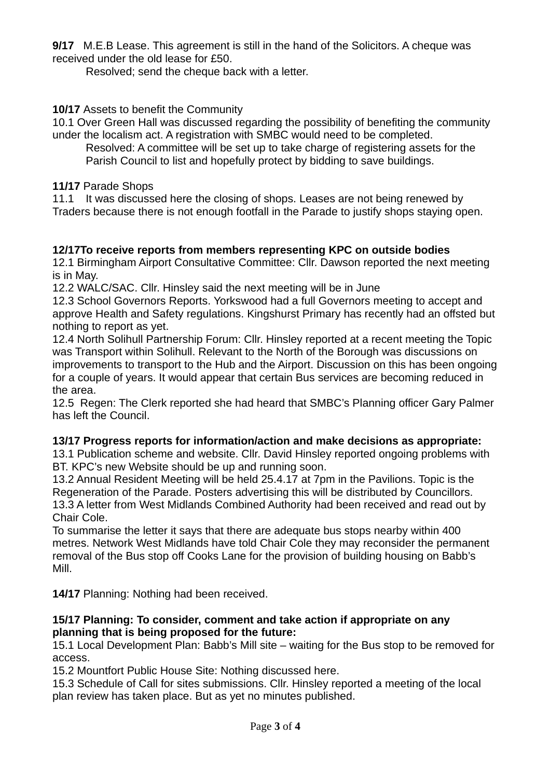**9/17** M.E.B Lease. This agreement is still in the hand of the Solicitors. A cheque was received under the old lease for £50.

Resolved; send the cheque back with a letter.

### **10/17** Assets to benefit the Community

10.1 Over Green Hall was discussed regarding the possibility of benefiting the community under the localism act. A registration with SMBC would need to be completed.

Resolved: A committee will be set up to take charge of registering assets for the Parish Council to list and hopefully protect by bidding to save buildings.

#### **11/17** Parade Shops

11.1 It was discussed here the closing of shops. Leases are not being renewed by Traders because there is not enough footfall in the Parade to justify shops staying open.

### **12/17To receive reports from members representing KPC on outside bodies**

12.1 Birmingham Airport Consultative Committee: Cllr. Dawson reported the next meeting is in May.

12.2 WALC/SAC. Cllr. Hinsley said the next meeting will be in June

12.3 School Governors Reports. Yorkswood had a full Governors meeting to accept and approve Health and Safety regulations. Kingshurst Primary has recently had an offsted but nothing to report as yet.

12.4 North Solihull Partnership Forum: Cllr. Hinsley reported at a recent meeting the Topic was Transport within Solihull. Relevant to the North of the Borough was discussions on improvements to transport to the Hub and the Airport. Discussion on this has been ongoing for a couple of years. It would appear that certain Bus services are becoming reduced in the area.

12.5 Regen: The Clerk reported she had heard that SMBC's Planning officer Gary Palmer has left the Council.

# **13/17 Progress reports for information/action and make decisions as appropriate:**

13.1 Publication scheme and website. Cllr. David Hinsley reported ongoing problems with BT. KPC's new Website should be up and running soon.

13.2 Annual Resident Meeting will be held 25.4.17 at 7pm in the Pavilions. Topic is the Regeneration of the Parade. Posters advertising this will be distributed by Councillors. 13.3 A letter from West Midlands Combined Authority had been received and read out by Chair Cole.

To summarise the letter it says that there are adequate bus stops nearby within 400 metres. Network West Midlands have told Chair Cole they may reconsider the permanent removal of the Bus stop off Cooks Lane for the provision of building housing on Babb's Mill.

**14/17** Planning: Nothing had been received.

#### **15/17 Planning: To consider, comment and take action if appropriate on any planning that is being proposed for the future:**

15.1 Local Development Plan: Babb's Mill site – waiting for the Bus stop to be removed for access.

15.2 Mountfort Public House Site: Nothing discussed here.

15.3 Schedule of Call for sites submissions. Cllr. Hinsley reported a meeting of the local plan review has taken place. But as yet no minutes published.